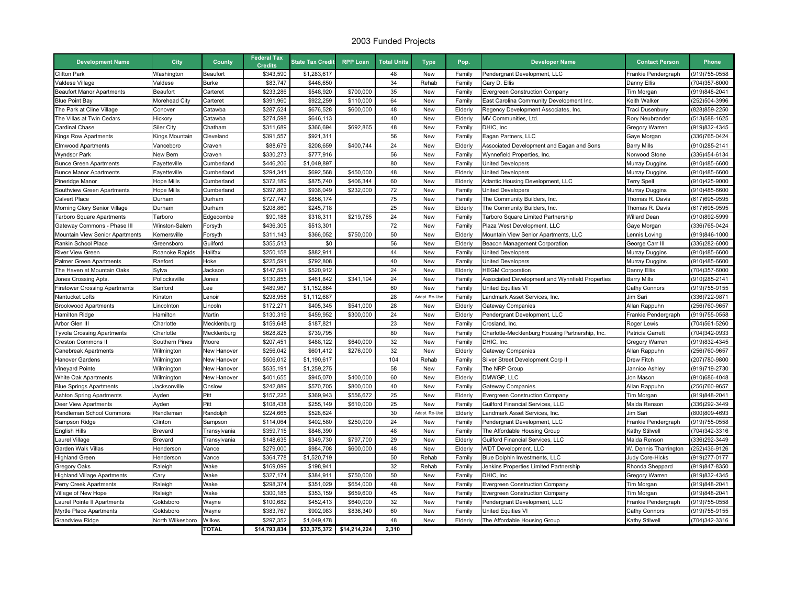## 2003 Funded Projects

| <b>Development Name</b>              | City                | County             | <b>Federal Tax</b><br><b>Credits</b> | <b>State Tax Credit</b> | <b>RPP Loan</b>           | <b>Total Units</b> | <b>Type</b>   | Pop.    | <b>Developer Name</b>                           | <b>Contact Person</b> | Phone          |
|--------------------------------------|---------------------|--------------------|--------------------------------------|-------------------------|---------------------------|--------------------|---------------|---------|-------------------------------------------------|-----------------------|----------------|
| <b>Clifton Park</b>                  | Washington          | Beaufort           | \$343,590                            | \$1,283,617             |                           | 48                 | New           | Family  | Pendergrant Development, LLC                    | Frankie Pendergraph   | (919)755-0558  |
| Valdese Village                      | Valdese             | <b>Burke</b>       | \$83,747                             | \$446,650               |                           | 34                 | Rehab         | Family  | Gary D. Ellis                                   | Danny Ellis           | 704)357-6000   |
| <b>Beaufort Manor Apartments</b>     | Beaufort            | Carteret           | \$233,286                            | \$548,920               | \$700,000                 | 35                 | New           | Family  | Evergreen Construction Company                  | Tim Morgan            | (919)848-2041  |
| <b>Blue Point Bay</b>                | Morehead City       | Carteret           | \$391,960                            | \$922,259               | \$110,000                 | 64                 | New           | Family  | East Carolina Community Development Inc.        | Keith Walker          | 252)504-3996   |
| The Park at Cline Village            | Conover             | Catawba            | \$287,524                            | \$676,528               | \$600,000                 | 48                 | New           | Elderly | Regency Development Associates, Inc.            | Traci Dusenbury       | 828)859-2250   |
| The Villas at Twin Cedars            | Hickory             | Catawba            | \$274,598                            | \$646,113               |                           | 40                 | New           | Elderly | MV Communities, Ltd.                            | Rory Neubrander       | (513) 588-1625 |
| Cardinal Chase                       | Siler City          | Chatham            | \$311,689                            | \$366,694               | \$692.865                 | 48                 | <b>New</b>    | Family  | DHIC, Inc.                                      | Gregory Warren        | 919)832-4345   |
| Kings Row Apartments                 | Kings Mountain      | Cleveland          | \$391,557                            | \$921,311               |                           | 56                 | New           | Family  | Eagan Partners, LLC                             | Gaye Morgan           | 336)765-0424   |
| <b>Elmwood Apartments</b>            | Vanceboro           | Craven             | \$88,679                             | \$208,659               | \$400,744                 | 24                 | <b>New</b>    | Elderly | Associated Development and Eagan and Sons       | <b>Barry Mills</b>    | 910)285-2141   |
| <b>Wyndsor Park</b>                  | New Bern            | Craven             | \$330,273                            | \$777,916               |                           | 56                 | New           | Family  | Wynnefield Properties, Inc.                     | Norwood Stone         | 336)454-6134   |
| <b>Bunce Green Apartments</b>        | Fayetteville        | Cumberland         | \$446,206                            | \$1,049,897             |                           | 80                 | New           | Family  | United Developers                               | Murray Duggins        | (910)485-6600  |
| <b>Bunce Manor Apartments</b>        | Fayetteville        | Cumberland         | \$294,341                            | \$692,568               | \$450,000                 | 48                 | New           | Elderly | United Developers                               | Murray Duggins        | (910)485-6600  |
| Pineridge Manor                      | Hope Mills          | Cumberland         | \$372,189                            | \$875,740               | \$406,344                 | 60                 | New           | Elderly | Atlantic Housing Development, LLC               | <b>Terry Spell</b>    | 910)425-9000   |
| Southview Green Apartments           | Hope Mills          | Cumberland         | \$397,863                            | \$936,049               | \$232,000                 | 72                 | <b>New</b>    | Family  | <b>Jnited Developers</b>                        | Murray Duggins        | 910)485-6600   |
| <b>Calvert Place</b>                 | Durham              | Durham             | \$727,747                            | \$856,174               |                           | 75                 | New           | Family  | The Community Builders, Inc.                    | Thomas R. Davis       | (617) 695-9595 |
| Morning Glory Senior Village         | Durham              | Durham             | \$208,860                            | \$245,718               |                           | 25                 | <b>New</b>    | Elderly | The Community Builders, Inc.                    | Thomas R. Davis       | (617) 695-9595 |
| Tarboro Square Apartments            | Tarboro             | Edgecombe          | \$90,188                             | \$318,311               | \$219,765                 | 24                 | New           | Family  | Tarboro Square Limited Partnership              | Willard Dean          | (910)892-5999  |
| Gateway Commons - Phase III          | Winston-Salem       | Forsyth            | \$436,305                            | \$513,301               |                           | 72                 | <b>New</b>    | Family  | Plaza West Development, LLC                     | Gaye Morgan           | 336)765-0424   |
| Mountain View Senior Apartments      | <b>Kernersville</b> | Forsyth            | \$311,143                            | \$366,052               | \$750,000                 | 50                 | New           | Elderly | Mountain View Senior Apartments, LLC            | Lennis Loving         | 919)846-1000   |
| Rankin School Place                  | Greensboro          | Guilford           | \$355,513                            | \$0                     |                           | 56                 | New           | Elderly | Beacon Management Corporation                   | George Carr III       | 336)282-6000   |
| River View Green                     | Roanoke Rapids      | Halifax            | \$250,158                            | \$882,911               |                           | 44                 | <b>New</b>    | Family  | <b>Jnited Developers</b>                        | <b>Murray Duggins</b> | 910)485-6600   |
| <b>Palmer Green Apartments</b>       | Raeford             | Hoke               | \$225,591                            | \$792,808               |                           | 40                 | New           | Family  | <b>United Developers</b>                        | Murray Duggins        | (910)485-6600  |
| The Haven at Mountain Oaks           | Sylva               | Jackson            | \$147,591                            | \$520,912               |                           | 24                 | <b>New</b>    | Elderly | <b>IEGM Corporation</b>                         | Danny Ellis           | 704)357-6000   |
| Jones Crossing Apts                  | Pollocksville       | Jones              | \$130,855                            | \$461,842               | \$341.194                 | 24                 | <b>New</b>    | Family  | Associated Development and Wynnfield Properties | <b>Barry Mills</b>    | 910)285-2141   |
| <b>Firetower Crossing Apartments</b> | Sanford             | Lee                | \$489,967                            | \$1,152,864             |                           | 60                 | New           | Family  | United Equities VI                              | Cathy Connors         | (919)755-9155  |
| Nantucket Lofts                      | Kinston             | Lenoir             | \$298,958                            | \$1,112,687             |                           | 28                 | Adapt. Re-Use | Family  | andmark Asset Services, Inc.                    | Jim Sari              | 336)722-9871   |
| <b>Brookwood Apartments</b>          | Lincolnton          | Lincoln            | \$172,271                            | \$405,345               | \$541,000                 | 28                 | New           | Elderly | <b>Gateway Companies</b>                        | Allan Rappuhn         | 256)760-9657   |
| <b>Hamilton Ridge</b>                | <b>Hamilton</b>     | Martin             | \$130,319                            | \$459,952               | \$300,000                 | 24                 | <b>New</b>    | Elderly | Pendergrant Development, LLC                    | Frankie Pendergraph   | 919)755-0558   |
| Arbor Glen III                       | Charlotte           | Mecklenburg        | \$159,648                            | \$187,821               |                           | 23                 | New           | Family  | Crosland, Inc.                                  | Roger Lewis           | (704) 561-5260 |
| <b>Tyvola Crossing Apartments</b>    | Charlotte           | Mecklenburg        | \$628,825                            | \$739,795               |                           | 80                 | <b>New</b>    | Family  | Charlotte-Mecklenburg Housing Partnership, Inc. | Patricia Garrett      | 704)342-0933   |
| Creston Commons II                   | Southern Pines      | Moore              | \$207,451                            | \$488,122               | \$640,000                 | 32                 | New           | Family  | DHIC. Inc.                                      | Gregory Warren        | 919)832-4345   |
| <b>Canebreak Apartments</b>          | Wilmington          | New Hanover        | \$256,042                            | \$601,412               | \$276,000                 | 32                 | New           | Elderly | Gateway Companies                               | Allan Rappuhn         | 256)760-9657   |
| <b>Hanover Gardens</b>               | Wilmington          | <b>New Hanover</b> | \$506,012                            | \$1,190,617             |                           | 104                | Rehab         | Family  | Silver Street Development Corp II               | Drew Fitch            | 207)780-9800   |
| Vineyard Pointe                      | Wilmington          | New Hanover        | \$535,191                            | \$1,259,275             |                           | 58                 | New           | Family  | The NRP Group                                   | Jannice Ashley        | (919)719-2730  |
| White Oak Apartments                 | Wilmington          | New Hanover        | \$401,655                            | \$945,070               | \$400,000                 | 60                 | <b>New</b>    | Elderly | DMWGP. LLC                                      | Jon Mason             | 910)686-4048   |
| <b>Blue Springs Apartments</b>       | Jacksonville        | Onslow             | \$242,889                            | \$570,705               | \$800,000                 | 40                 | New           | Family  | <b>Gateway Companies</b>                        | Allan Rappuhn         | 256)760-9657   |
| <b>Ashton Spring Apartments</b>      | Ayden               | Pitt               | \$157,225                            | \$369,943               | \$556,672                 | 25                 | New           | Elderly | <b>Evergreen Construction Company</b>           | Tim Morgan            | 919)848-2041   |
| Deer View Apartments                 | Ayden               | Pitt               | \$108,438                            | \$255,149               | \$610,000                 | 25                 | <b>New</b>    | Family  | <b>Guilford Financial Services, LLC</b>         | Maida Renson          | (336)292-3449  |
| Randleman School Commons             | Randleman           | Randolph           | \$224,665                            | \$528,624               |                           | 30                 | Adapt. Re-Use | Elderly | andmark Asset Services, Inc.                    | Jim Sari              | (800)809-4693  |
| Sampson Ridge                        | Clinton             | Sampson            | \$114,064                            | \$402,580               | \$250,000                 | 24                 | New           | Family  | Pendergrant Development, LLC                    | Frankie Pendergraph   | (919)755-0558  |
| English Hills                        | Brevard             | Transylvania       | \$359,715                            | \$846,390               |                           | 48                 | New           | Family  | The Affordable Housing Group                    | Kathy Stilwell        | 704)342-3316   |
| Laurel Village                       | Brevard             | Transylvania       | \$148,635                            | \$349,730               | \$797.700                 | 29                 | <b>New</b>    | Elderly | Guilford Financial Services, LLC                | Maida Renson          | 336)292-3449   |
| Garden Walk Villas                   | Henderson           | Vance              | \$279,000                            | \$984,708               | \$600,000                 | 48                 | New           | Elderly | <b>WDT Development, LLC</b>                     | W. Dennis Tharrington | (252)436-9126  |
| <b>Highland Green</b>                | Henderson           | Vance              | \$364,778                            | \$1,520,719             |                           | 50                 | Rehab         | Family  | Blue Dolphin Investments, LLC                   | Judy Core-Hicks       | (919) 277-0177 |
| Gregory Oaks                         | Raleigh             | Wake               | \$169,099                            | \$198,941               |                           | 32                 | Rehab         | Family  | Jenkins Properties Limited Partnership          | Rhonda Sheppard       | 919)847-8350   |
| <b>Highland Village Apartments</b>   | Cary                | Wake               | \$327,174                            | \$384,911               | \$750,000                 | 50                 | New           | Family  | DHIC, Inc.                                      | Gregory Warren        | 919)832-4345   |
| Perry Creek Apartments               | Raleigh             | Wake               | \$298,374                            | \$351,029               | \$654,000                 | 48                 | New           | Family  | <b>Evergreen Construction Company</b>           | Tim Morgan            | 919)848-2041   |
| Village of New Hope                  | Raleigh             | Wake               | \$300,185                            | \$353,159               | \$659,600                 | 45                 | New           | Family  | Evergreen Construction Company                  | Tim Morgan            | (919)848-2041  |
| Laurel Pointe II Apartments          | Goldsboro           | Wayne              | \$100,682                            | \$452,413               | \$640,000                 | 32                 | <b>New</b>    | Family  | Pendergrant Development, LLC                    | Frankie Pendergraph   | 919)755-0558   |
| Myrtle Place Apartments              | Goldsboro           | Wayne              | \$383,767                            | \$902,983               | \$836,340                 | 60                 | New           | Family  | United Equities VI                              | Cathy Connors         | (919)755-9155  |
| <b>Grandview Ridge</b>               | North Wilkesboro    | Wilkes             | \$297,352                            | \$1,049,478             |                           | 48                 | New           | Elderly | The Affordable Housing Group                    | Kathy Stilwell        | (704) 342-3316 |
|                                      |                     | <b>TOTAL</b>       | \$14.793.834                         |                         | \$33.375.372 \$14.214.224 | 2.310              |               |         |                                                 |                       |                |